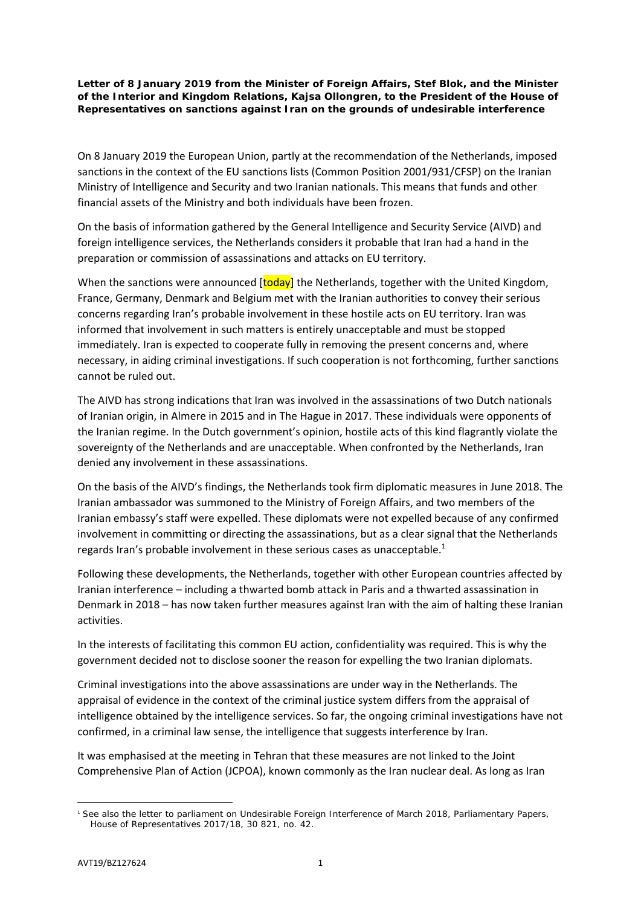**Letter of 8 January 2019 from the Minister of Foreign Affairs, Stef Blok, and the Minister of the Interior and Kingdom Relations, Kajsa Ollongren, to the President of the House of Representatives on sanctions against Iran on the grounds of undesirable interference**

On 8 January 2019 the European Union, partly at the recommendation of the Netherlands, imposed sanctions in the context of the EU sanctions lists (Common Position 2001/931/CFSP) on the Iranian Ministry of Intelligence and Security and two Iranian nationals. This means that funds and other financial assets of the Ministry and both individuals have been frozen.

On the basis of information gathered by the General Intelligence and Security Service (AIVD) and foreign intelligence services, the Netherlands considers it probable that Iran had a hand in the preparation or commission of assassinations and attacks on EU territory.

When the sanctions were announced **[today**] the Netherlands, together with the United Kingdom, France, Germany, Denmark and Belgium met with the Iranian authorities to convey their serious concerns regarding Iran's probable involvement in these hostile acts on EU territory. Iran was informed that involvement in such matters is entirely unacceptable and must be stopped immediately. Iran is expected to cooperate fully in removing the present concerns and, where necessary, in aiding criminal investigations. If such cooperation is not forthcoming, further sanctions cannot be ruled out.

The AIVD has strong indications that Iran was involved in the assassinations of two Dutch nationals of Iranian origin, in Almere in 2015 and in The Hague in 2017. These individuals were opponents of the Iranian regime. In the Dutch government's opinion, hostile acts of this kind flagrantly violate the sovereignty of the Netherlands and are unacceptable. When confronted by the Netherlands, Iran denied any involvement in these assassinations.

On the basis of the AIVD's findings, the Netherlands took firm diplomatic measures in June 2018. The Iranian ambassador was summoned to the Ministry of Foreign Affairs, and two members of the Iranian embassy's staff were expelled. These diplomats were not expelled because of any confirmed involvement in committing or directing the assassinations, but as a clear signal that the Netherlands regards Iran's probable involvement in these serious cases as unacceptable.<sup>1</sup>

Following these developments, the Netherlands, together with other European countries affected by Iranian interference – including a thwarted bomb attack in Paris and a thwarted assassination in Denmark in 2018 – has now taken further measures against Iran with the aim of halting these Iranian activities.

In the interests of facilitating this common EU action, confidentiality was required. This is why the government decided not to disclose sooner the reason for expelling the two Iranian diplomats.

Criminal investigations into the above assassinations are under way in the Netherlands. The appraisal of evidence in the context of the criminal justice system differs from the appraisal of intelligence obtained by the intelligence services. So far, the ongoing criminal investigations have not confirmed, in a criminal law sense, the intelligence that suggests interference by Iran.

It was emphasised at the meeting in Tehran that these measures are not linked to the Joint Comprehensive Plan of Action (JCPOA), known commonly as the Iran nuclear deal. As long as Iran

 $\overline{a}$ 

<sup>1</sup> See also the letter to parliament on Undesirable Foreign Interference of March 2018, Parliamentary Papers, House of Representatives 2017/18, 30 821, no. 42.